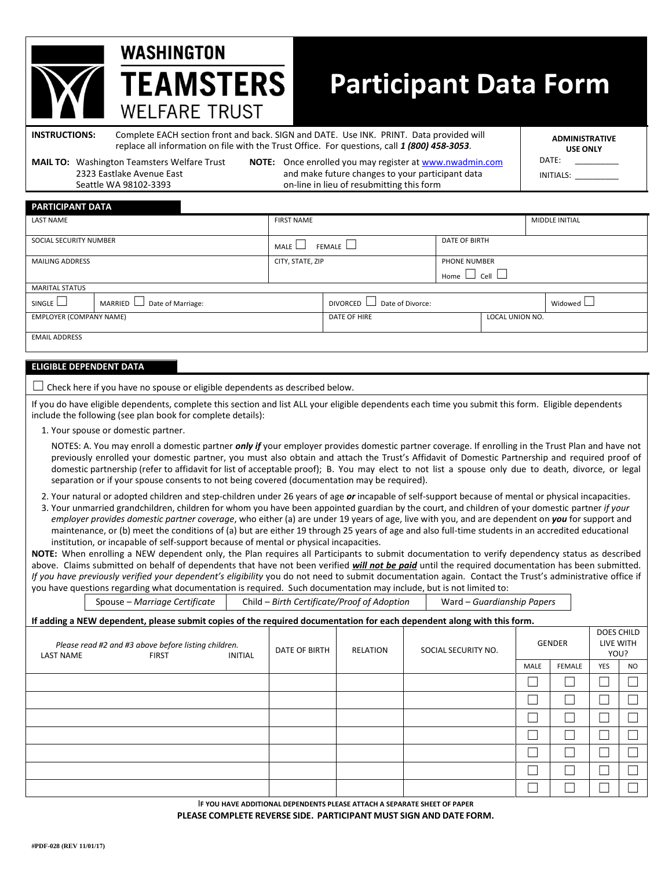# **Participant Data Form**

**INSTRUCTIONS:** Complete EACH section front and back. SIGN and DATE. Use INK. PRINT. Data provided will replace all information on file with the Trust Office. For questions, call *1 (800) 458-3053*.

**MAIL TO:** Washington Teamsters Welfare Trust **NOTE:** Once enrolled you may register at www.nwadmin.com

**WASHINGTON** 

**TEAMSTERS** 

**WELFARE TRUST** 

2323 Eastlake Avenue East and make future changes to your participant data Seattle WA 98102-3393 on-line in lieu of resubmitting this form

**ADMINISTRATIVE USE ONLY**  DATE:

INITIALS: \_\_\_\_\_\_\_\_\_\_ \_\_\_\_\_\_\_\_\_\_\_\_\_

| <b>PARTICIPANT DATA</b>        |                                |                       |                                  |                         |                 |                       |  |
|--------------------------------|--------------------------------|-----------------------|----------------------------------|-------------------------|-----------------|-----------------------|--|
| <b>LAST NAME</b>               |                                | <b>FIRST NAME</b>     |                                  |                         |                 | <b>MIDDLE INITIAL</b> |  |
|                                |                                |                       |                                  |                         |                 |                       |  |
| SOCIAL SECURITY NUMBER         |                                | FEMALE $\Box$<br>MALE |                                  | <b>DATE OF BIRTH</b>    |                 |                       |  |
| <b>MAILING ADDRESS</b>         |                                | CITY, STATE, ZIP      |                                  | <b>PHONE NUMBER</b>     |                 |                       |  |
|                                |                                |                       |                                  | Home $\Box$ Cell $\Box$ |                 |                       |  |
| <b>MARITAL STATUS</b>          |                                |                       |                                  |                         |                 |                       |  |
| SINGLE                         | MARRIED L<br>Date of Marriage: |                       | DIVORCED $\Box$ Date of Divorce: |                         | Widowed L       |                       |  |
| <b>EMPLOYER (COMPANY NAME)</b> |                                |                       | DATE OF HIRE                     |                         | LOCAL UNION NO. |                       |  |
|                                |                                |                       |                                  |                         |                 |                       |  |
| <b>EMAIL ADDRESS</b>           |                                |                       |                                  |                         |                 |                       |  |
|                                |                                |                       |                                  |                         |                 |                       |  |

#### **ELIGIBLE DEPENDENT DATA**

 $\Box$  Check here if you have no spouse or eligible dependents as described below.

If you do have eligible dependents, complete this section and list ALL your eligible dependents each time you submit this form. Eligible dependents include the following (see plan book for complete details):

1. Your spouse or domestic partner.

NOTES: A. You may enroll a domestic partner *only if* your employer provides domestic partner coverage. If enrolling in the Trust Plan and have not previously enrolled your domestic partner, you must also obtain and attach the Trust's Affidavit of Domestic Partnership and required proof of domestic partnership (refer to affidavit for list of acceptable proof); B. You may elect to not list a spouse only due to death, divorce, or legal separation or if your spouse consents to not being covered (documentation may be required).

- 2. Your natural or adopted children and step-children under 26 years of age *or* incapable of self-support because of mental or physical incapacities.
- 3. Your unmarried grandchildren, children for whom you have been appointed guardian by the court, and children of your domestic partner *if your employer provides domestic partner coverage*, who either (a) are under 19 years of age, live with you, and are dependent on *you* for support and maintenance, or (b) meet the conditions of (a) but are either 19 through 25 years of age and also full-time students in an accredited educational institution, or incapable of self-support because of mental or physical incapacities.

**NOTE:** When enrolling a NEW dependent only, the Plan requires all Participants to submit documentation to verify dependency status as described above. Claims submitted on behalf of dependents that have not been verified *will not be paid* until the required documentation has been submitted. *If you have previously verified your dependent's eligibility* you do not need to submit documentation again. Contact the Trust's administrative office if you have questions regarding what documentation is required. Such documentation may include, but is not limited to:

|                                                                                                            | Spouse - Marriage Certificate                                                                                          | Child - Birth Certificate/Proof of Adoption<br>Ward - Guardianship Papers |               |                 |                     |               |      |                                        |            |                |
|------------------------------------------------------------------------------------------------------------|------------------------------------------------------------------------------------------------------------------------|---------------------------------------------------------------------------|---------------|-----------------|---------------------|---------------|------|----------------------------------------|------------|----------------|
|                                                                                                            | If adding a NEW dependent, please submit copies of the required documentation for each dependent along with this form. |                                                                           |               |                 |                     |               |      |                                        |            |                |
| Please read #2 and #3 above before listing children.<br><b>LAST NAME</b><br><b>INITIAL</b><br><b>FIRST</b> |                                                                                                                        |                                                                           | DATE OF BIRTH | <b>RELATION</b> | SOCIAL SECURITY NO. | <b>GENDER</b> |      | <b>DOES CHILD</b><br>LIVE WITH<br>YOU? |            |                |
|                                                                                                            |                                                                                                                        |                                                                           |               |                 |                     |               | MALE | <b>FEMALE</b>                          | <b>YES</b> | N <sub>O</sub> |
|                                                                                                            |                                                                                                                        |                                                                           |               |                 |                     |               |      |                                        |            |                |
|                                                                                                            |                                                                                                                        |                                                                           |               |                 |                     |               |      |                                        |            |                |
|                                                                                                            |                                                                                                                        |                                                                           |               |                 |                     |               |      |                                        |            |                |
|                                                                                                            |                                                                                                                        |                                                                           |               |                 |                     |               |      |                                        |            |                |
|                                                                                                            |                                                                                                                        |                                                                           |               |                 |                     |               |      |                                        |            |                |
|                                                                                                            |                                                                                                                        |                                                                           |               |                 |                     |               |      |                                        |            |                |
|                                                                                                            |                                                                                                                        |                                                                           |               |                 |                     |               |      |                                        |            |                |

I**F YOU HAVE ADDITIONAL DEPENDENTS PLEASE ATTACH A SEPARATE SHEET OF PAPER PLEASE COMPLETE REVERSE SIDE. PARTICIPANT MUST SIGN AND DATE FORM.**